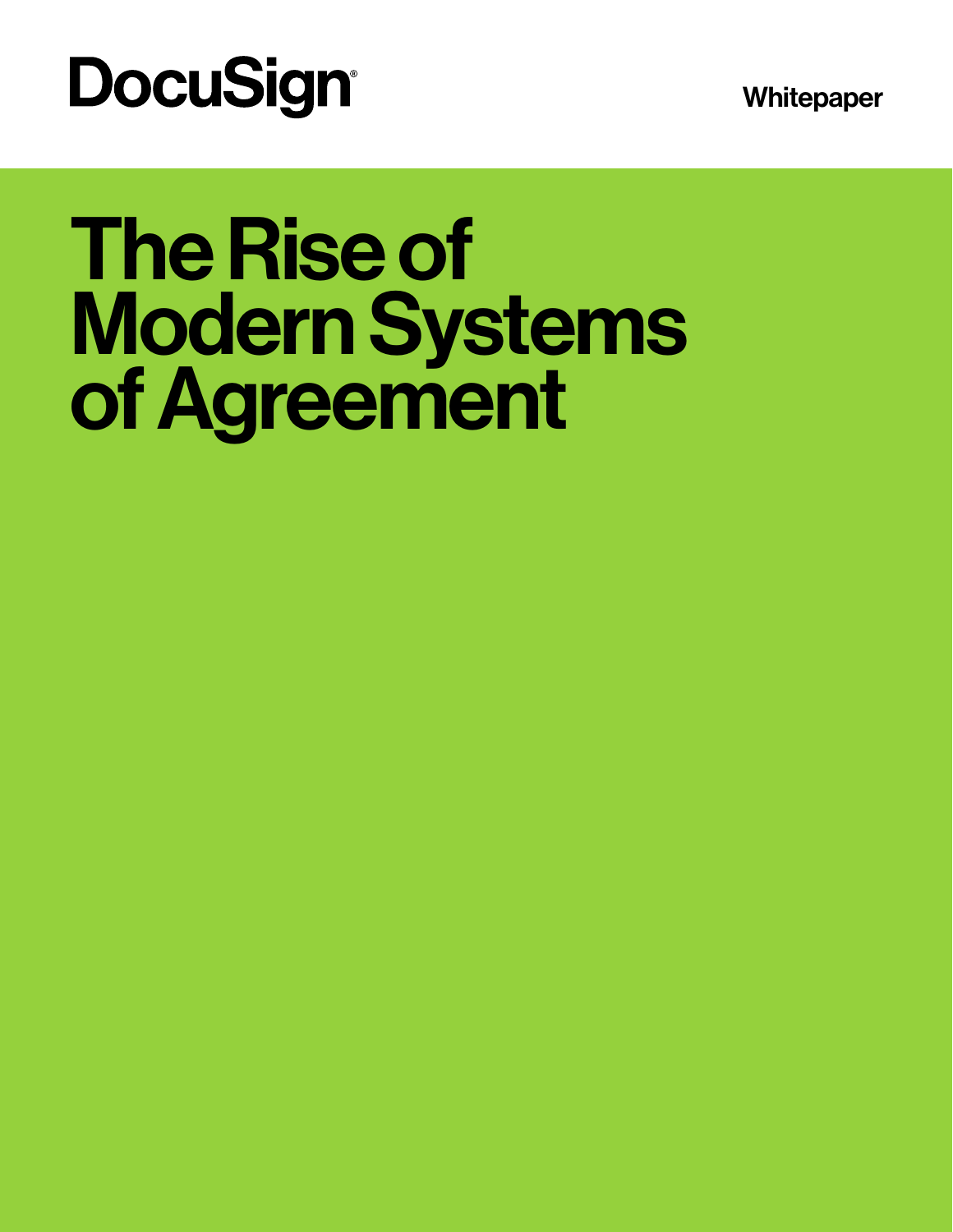**Whitepaper** 

# **DocuSign®**

# The Rise of Modern Systems of Agreement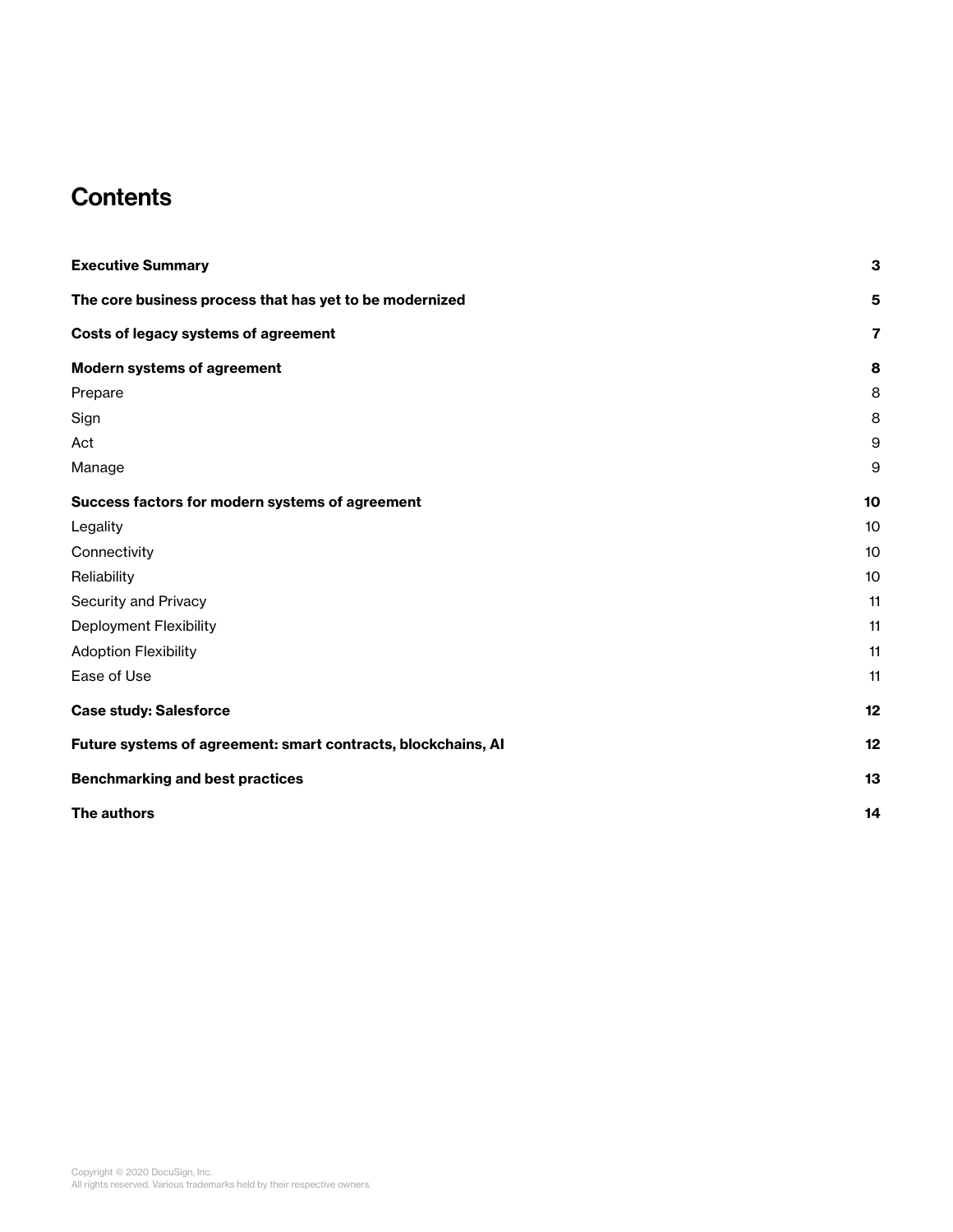# **Contents**

| <b>Executive Summary</b>                                      | 3              |
|---------------------------------------------------------------|----------------|
| The core business process that has yet to be modernized       | 5              |
| Costs of legacy systems of agreement                          | $\overline{7}$ |
| <b>Modern systems of agreement</b>                            | 8              |
| Prepare                                                       | 8              |
| Sign                                                          | 8              |
| Act                                                           | 9              |
| Manage                                                        | 9              |
| Success factors for modern systems of agreement               | 10             |
| Legality                                                      | 10             |
| Connectivity                                                  | 10             |
| Reliability                                                   | 10             |
| Security and Privacy                                          | 11             |
| <b>Deployment Flexibility</b>                                 | 11             |
| <b>Adoption Flexibility</b>                                   | 11             |
| Ease of Use                                                   | 11             |
| <b>Case study: Salesforce</b>                                 | 12             |
| Future systems of agreement: smart contracts, blockchains, AI | 12             |
| <b>Benchmarking and best practices</b>                        | 13             |
| The authors                                                   | 14             |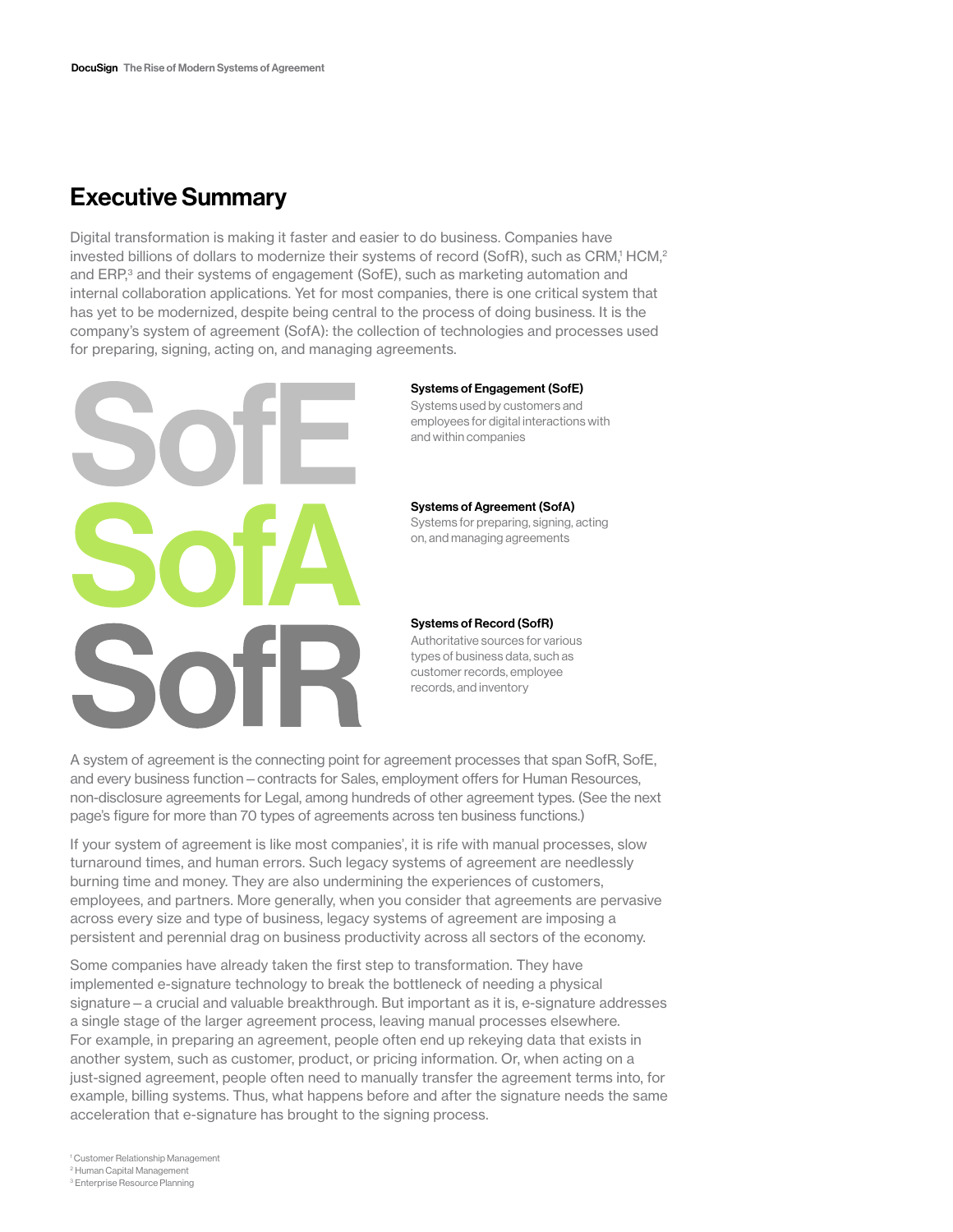# Executive Summary

Digital transformation is making it faster and easier to do business. Companies have invested billions of dollars to modernize their systems of record (SofR), such as CRM,1 HCM,<sup>2</sup> and ERP,<sup>3</sup> and their systems of engagement (SofE), such as marketing automation and internal collaboration applications. Yet for most companies, there is one critical system that has yet to be modernized, despite being central to the process of doing business. It is the company's system of agreement (SofA): the collection of technologies and processes used for preparing, signing, acting on, and managing agreements.



#### Systems of Engagement (SofE)

Systems used by customers and employees for digital interactions with and within companies

#### Systems of Agreement (SofA)

Systems for preparing, signing, acting on, and managing agreements

#### Systems of Record (SofR)

Authoritative sources for various types of business data, such as customer records, employee records, and inventory

A system of agreement is the connecting point for agreement processes that span SofR, SofE, and every business function—contracts for Sales, employment offers for Human Resources, non-disclosure agreements for Legal, among hundreds of other agreement types. (See the next page's figure for more than 70 types of agreements across ten business functions.)

If your system of agreement is like most companies', it is rife with manual processes, slow turnaround times, and human errors. Such legacy systems of agreement are needlessly burning time and money. They are also undermining the experiences of customers, employees, and partners. More generally, when you consider that agreements are pervasive across every size and type of business, legacy systems of agreement are imposing a persistent and perennial drag on business productivity across all sectors of the economy.

Some companies have already taken the first step to transformation. They have implemented e-signature technology to break the bottleneck of needing a physical signature—a crucial and valuable breakthrough. But important as it is, e-signature addresses a single stage of the larger agreement process, leaving manual processes elsewhere. For example, in preparing an agreement, people often end up rekeying data that exists in another system, such as customer, product, or pricing information. Or, when acting on a just-signed agreement, people often need to manually transfer the agreement terms into, for example, billing systems. Thus, what happens before and after the signature needs the same acceleration that e-signature has brought to the signing process.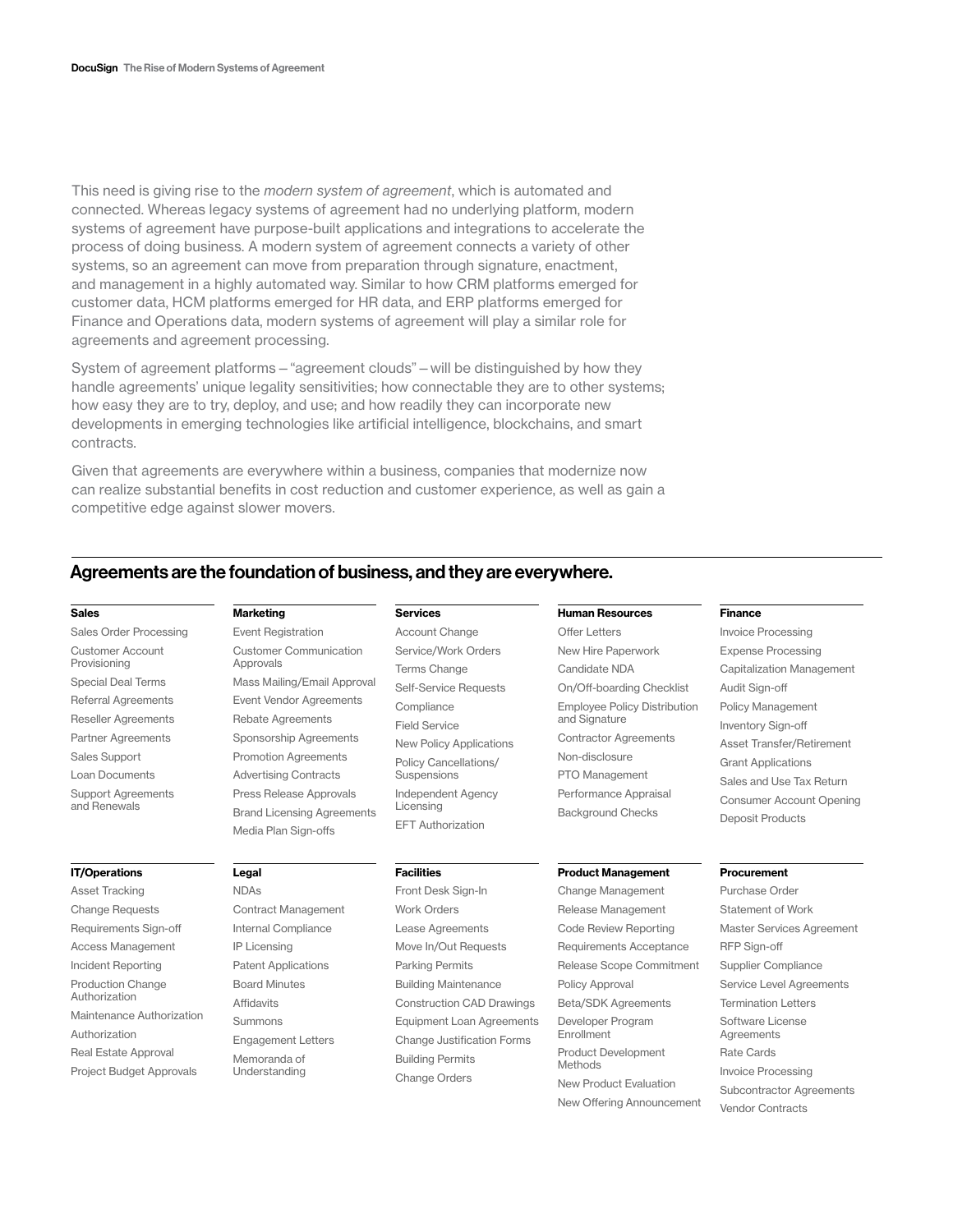This need is giving rise to the *modern system of agreement*, which is automated and connected. Whereas legacy systems of agreement had no underlying platform, modern systems of agreement have purpose-built applications and integrations to accelerate the process of doing business. A modern system of agreement connects a variety of other systems, so an agreement can move from preparation through signature, enactment, and management in a highly automated way. Similar to how CRM platforms emerged for customer data, HCM platforms emerged for HR data, and ERP platforms emerged for Finance and Operations data, modern systems of agreement will play a similar role for agreements and agreement processing.

System of agreement platforms—"agreement clouds"—will be distinguished by how they handle agreements' unique legality sensitivities; how connectable they are to other systems; how easy they are to try, deploy, and use; and how readily they can incorporate new developments in emerging technologies like artificial intelligence, blockchains, and smart contracts.

Given that agreements are everywhere within a business, companies that modernize now can realize substantial benefits in cost reduction and customer experience, as well as gain a competitive edge against slower movers.

#### Agreements are the foundation of business, and they are everywhere.

#### Sales

Sales Order Processing Customer Account Provisioning Special Deal Terms Referral Agreements Reseller Agreements Partner Agreements Sales Support Loan Documents Support Agreements and Renewals

#### IT/Operations

Asset Tracking Change Requests Requirements Sign-off Access Management Incident Reporting Production Change Authorization Maintenance Authorization Authorization Real Estate Approval Project Budget Approvals

#### Event Registration Customer Communication Approvals Mass Mailing/Email Approval Event Vendor Agreements Rebate Agreements Sponsorship Agreements

Marketing

Legal NDAs

Promotion Agreements Advertising Contracts Press Release Approvals Brand Licensing Agreements Media Plan Sign-offs

#### **Facilities**

Licensing EFT Authorization

Services Account Change Service/Work Orders Terms Change Self-Service Requests

**Compliance** Field Service

New Policy Applications Policy Cancellations/ **Suspensions** Independent Agency

Contract Management Internal Compliance IP Licensing Patent Applications Board Minutes Affidavits Summons Engagement Letters Memoranda of Understanding

## Front Desk Sign-In Work Orders Lease Agreements Move In/Out Requests Parking Permits Building Maintenance Construction CAD Drawings Equipment Loan Agreements Change Justification Forms Building Permits Change Orders

### Human Resources

Offer Letters New Hire Paperwork Candidate NDA On/Off-boarding Checklist Employee Policy Distribution and Signature Contractor Agreements Non-disclosure PTO Management Performance Appraisal Background Checks

#### Product Management

Change Management Release Management Code Review Reporting Requirements Acceptance Release Scope Commitment Policy Approval Beta/SDK Agreements Developer Program Enrollment Product Development Methods New Product Evaluation New Offering Announcement

#### Finance

Invoice Processing Expense Processing Capitalization Management Audit Sign-off Policy Management Inventory Sign-off Asset Transfer/Retirement Grant Applications Sales and Use Tax Return Consumer Account Opening Deposit Products

#### **Procurement**

Purchase Order Statement of Work Master Services Agreement RFP Sign-off Supplier Compliance Service Level Agreements Termination Letters Software License **Agreements** Rate Cards Invoice Processing Subcontractor Agreements Vendor Contracts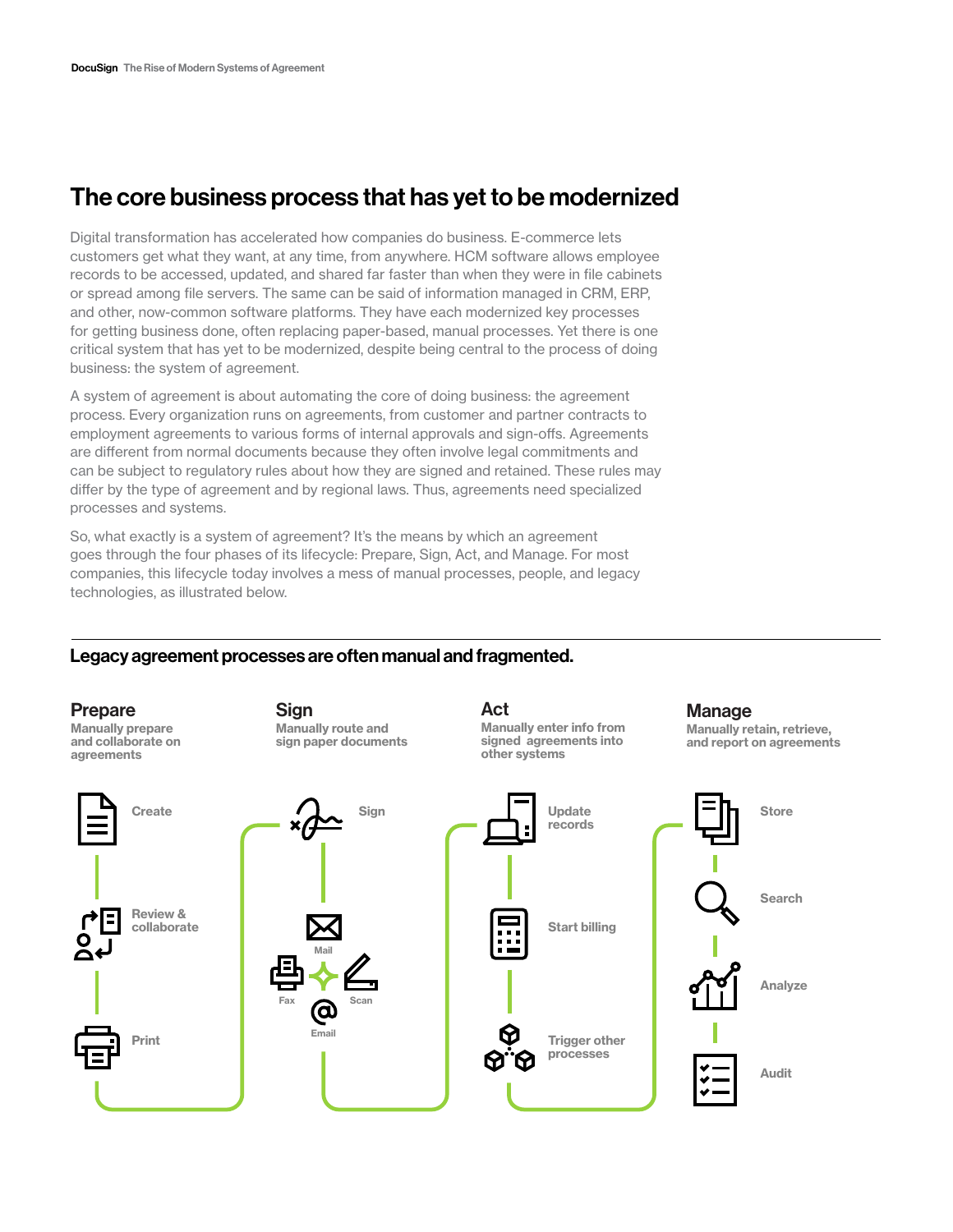# The core business process that has yet to be modernized

Digital transformation has accelerated how companies do business. E-commerce lets customers get what they want, at any time, from anywhere. HCM software allows employee records to be accessed, updated, and shared far faster than when they were in file cabinets or spread among file servers. The same can be said of information managed in CRM, ERP, and other, now-common software platforms. They have each modernized key processes for getting business done, often replacing paper-based, manual processes. Yet there is one critical system that has yet to be modernized, despite being central to the process of doing business: the system of agreement.

A system of agreement is about automating the core of doing business: the agreement process. Every organization runs on agreements, from customer and partner contracts to employment agreements to various forms of internal approvals and sign-offs. Agreements are different from normal documents because they often involve legal commitments and can be subject to regulatory rules about how they are signed and retained. These rules may differ by the type of agreement and by regional laws. Thus, agreements need specialized processes and systems.

So, what exactly is a system of agreement? It's the means by which an agreement goes through the four phases of its lifecycle: Prepare, Sign, Act, and Manage. For most companies, this lifecycle today involves a mess of manual processes, people, and legacy technologies, as illustrated below.

#### Legacy agreement processes are often manual and fragmented.

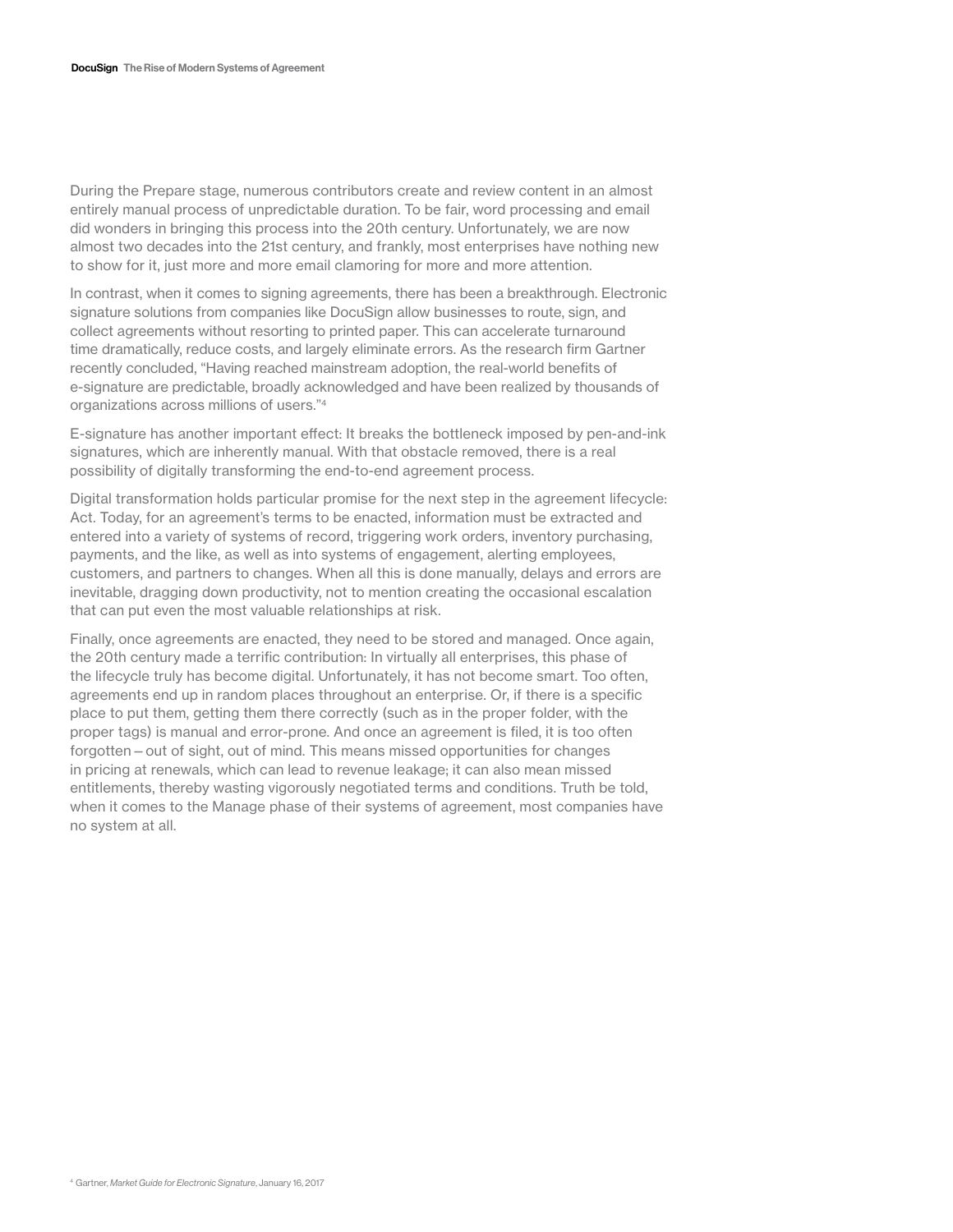During the Prepare stage, numerous contributors create and review content in an almost entirely manual process of unpredictable duration. To be fair, word processing and email did wonders in bringing this process into the 20th century. Unfortunately, we are now almost two decades into the 21st century, and frankly, most enterprises have nothing new to show for it, just more and more email clamoring for more and more attention.

In contrast, when it comes to signing agreements, there has been a breakthrough. Electronic signature solutions from companies like DocuSign allow businesses to route, sign, and collect agreements without resorting to printed paper. This can accelerate turnaround time dramatically, reduce costs, and largely eliminate errors. As the research firm Gartner recently concluded, "Having reached mainstream adoption, the real-world benefits of e-signature are predictable, broadly acknowledged and have been realized by thousands of organizations across millions of users."4

E-signature has another important effect: It breaks the bottleneck imposed by pen-and-ink signatures, which are inherently manual. With that obstacle removed, there is a real possibility of digitally transforming the end-to-end agreement process.

Digital transformation holds particular promise for the next step in the agreement lifecycle: Act. Today, for an agreement's terms to be enacted, information must be extracted and entered into a variety of systems of record, triggering work orders, inventory purchasing, payments, and the like, as well as into systems of engagement, alerting employees, customers, and partners to changes. When all this is done manually, delays and errors are inevitable, dragging down productivity, not to mention creating the occasional escalation that can put even the most valuable relationships at risk.

Finally, once agreements are enacted, they need to be stored and managed. Once again, the 20th century made a terrific contribution: In virtually all enterprises, this phase of the lifecycle truly has become digital. Unfortunately, it has not become smart. Too often, agreements end up in random places throughout an enterprise. Or, if there is a specific place to put them, getting them there correctly (such as in the proper folder, with the proper tags) is manual and error-prone. And once an agreement is filed, it is too often forgotten—out of sight, out of mind. This means missed opportunities for changes in pricing at renewals, which can lead to revenue leakage; it can also mean missed entitlements, thereby wasting vigorously negotiated terms and conditions. Truth be told, when it comes to the Manage phase of their systems of agreement, most companies have no system at all.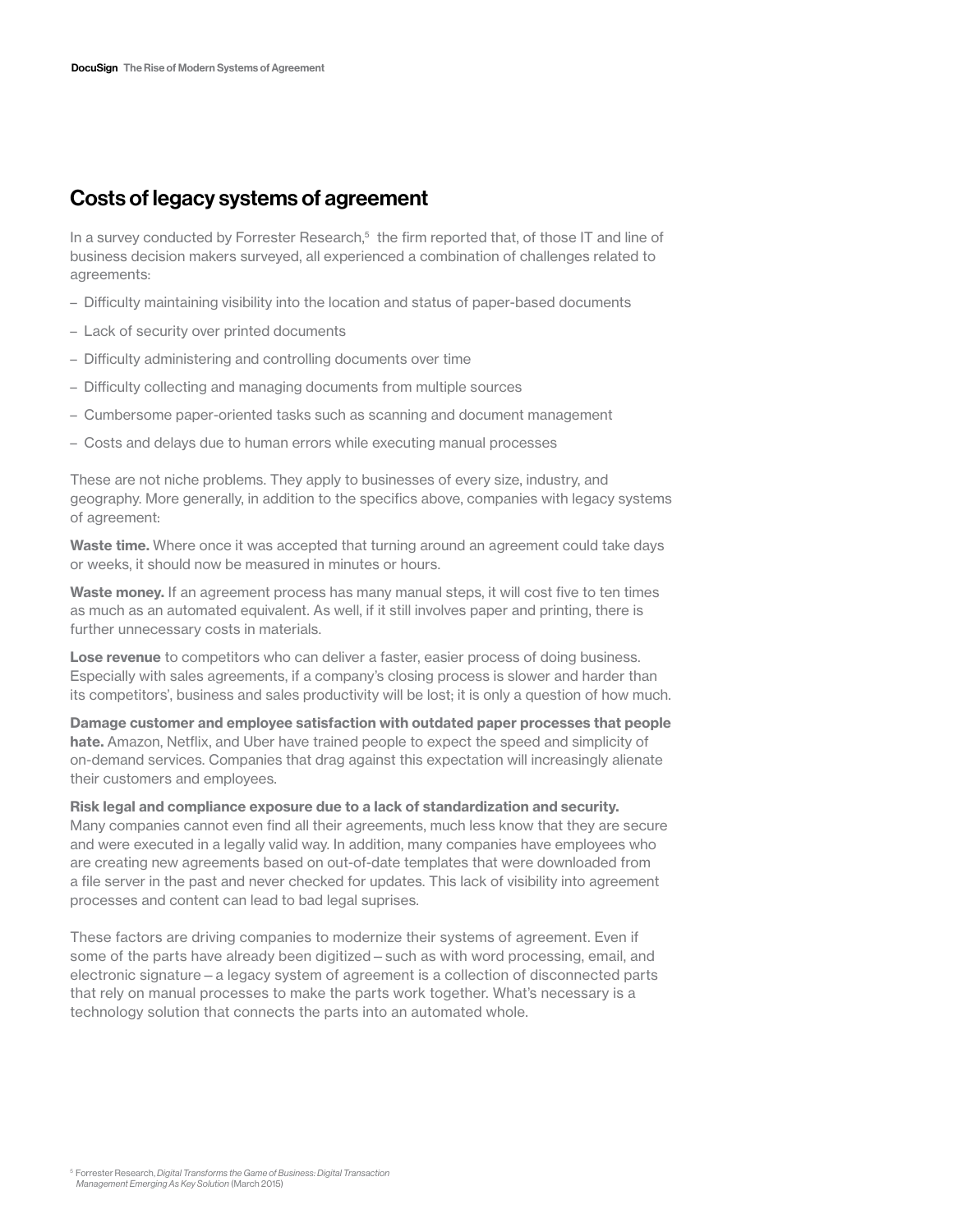# Costs of legacy systems of agreement

In a survey conducted by Forrester Research, $5$  the firm reported that, of those IT and line of business decision makers surveyed, all experienced a combination of challenges related to agreements:

- Difficulty maintaining visibility into the location and status of paper-based documents
- Lack of security over printed documents
- Difficulty administering and controlling documents over time
- Difficulty collecting and managing documents from multiple sources
- Cumbersome paper-oriented tasks such as scanning and document management
- Costs and delays due to human errors while executing manual processes

These are not niche problems. They apply to businesses of every size, industry, and geography. More generally, in addition to the specifics above, companies with legacy systems of agreement:

Waste time. Where once it was accepted that turning around an agreement could take days or weeks, it should now be measured in minutes or hours.

Waste money. If an agreement process has many manual steps, it will cost five to ten times as much as an automated equivalent. As well, if it still involves paper and printing, there is further unnecessary costs in materials.

Lose revenue to competitors who can deliver a faster, easier process of doing business. Especially with sales agreements, if a company's closing process is slower and harder than its competitors', business and sales productivity will be lost; it is only a question of how much.

Damage customer and employee satisfaction with outdated paper processes that people hate. Amazon, Netflix, and Uber have trained people to expect the speed and simplicity of on-demand services. Companies that drag against this expectation will increasingly alienate their customers and employees.

Risk legal and compliance exposure due to a lack of standardization and security.

Many companies cannot even find all their agreements, much less know that they are secure and were executed in a legally valid way. In addition, many companies have employees who are creating new agreements based on out-of-date templates that were downloaded from a file server in the past and never checked for updates. This lack of visibility into agreement processes and content can lead to bad legal suprises.

These factors are driving companies to modernize their systems of agreement. Even if some of the parts have already been digitized—such as with word processing, email, and electronic signature—a legacy system of agreement is a collection of disconnected parts that rely on manual processes to make the parts work together. What's necessary is a technology solution that connects the parts into an automated whole.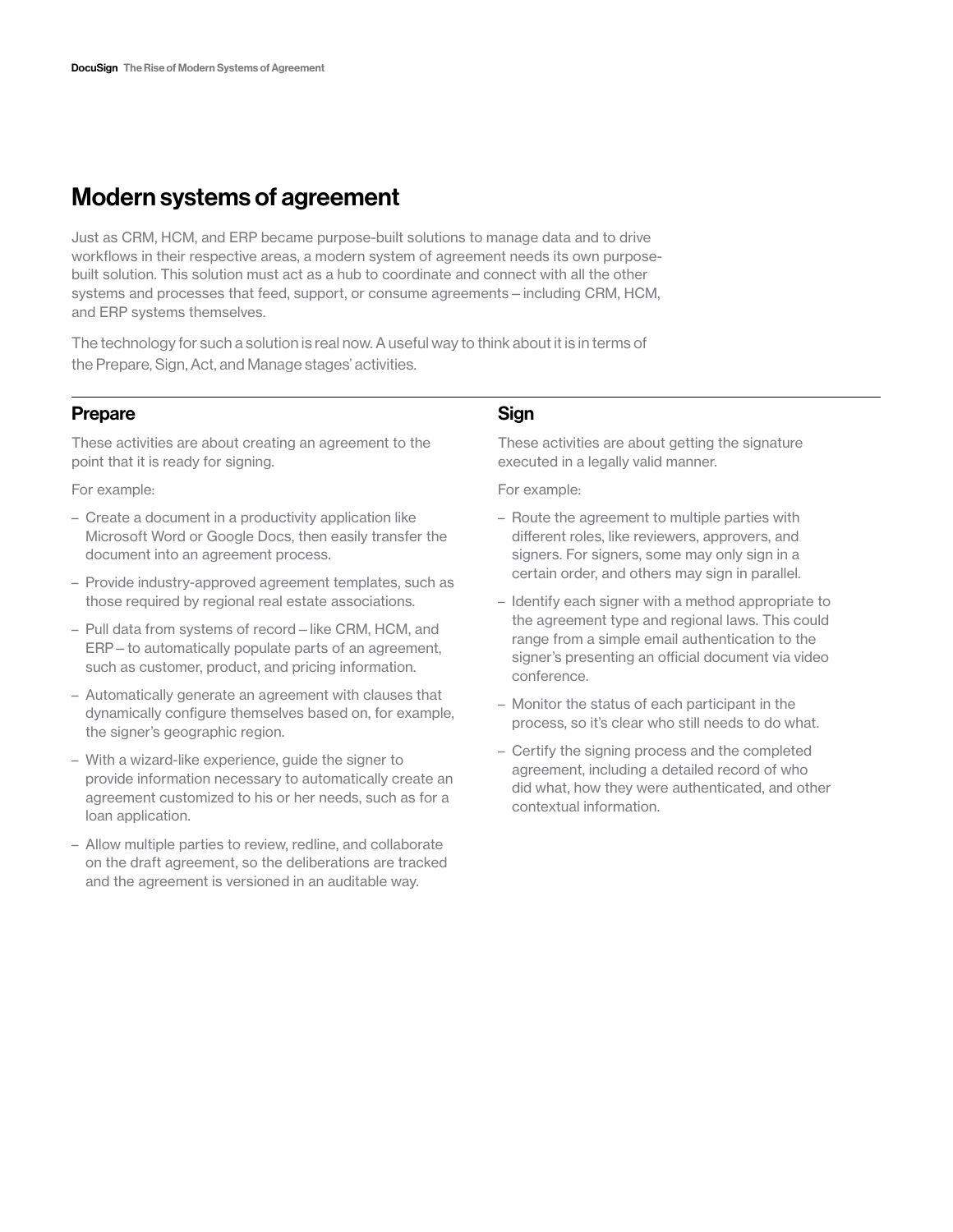# Modern systems of agreement

Just as CRM, HCM, and ERP became purpose-built solutions to manage data and to drive workflows in their respective areas, a modern system of agreement needs its own purposebuilt solution. This solution must act as a hub to coordinate and connect with all the other systems and processes that feed, support, or consume agreements—including CRM, HCM, and ERP systems themselves.

The technology for such a solution is real now. A useful way to think about it is in terms of the Prepare, Sign, Act, and Manage stages' activities.

## Prepare

These activities are about creating an agreement to the point that it is ready for signing.

For example:

- Create a document in a productivity application like Microsoft Word or Google Docs, then easily transfer the document into an agreement process.
- Provide industry-approved agreement templates, such as those required by regional real estate associations.
- Pull data from systems of record—like CRM, HCM, and ERP—to automatically populate parts of an agreement, such as customer, product, and pricing information.
- Automatically generate an agreement with clauses that dynamically configure themselves based on, for example, the signer's geographic region.
- With a wizard-like experience, guide the signer to provide information necessary to automatically create an agreement customized to his or her needs, such as for a loan application.
- Allow multiple parties to review, redline, and collaborate on the draft agreement, so the deliberations are tracked and the agreement is versioned in an auditable way.

## Sign

These activities are about getting the signature executed in a legally valid manner.

For example:

- Route the agreement to multiple parties with different roles, like reviewers, approvers, and signers. For signers, some may only sign in a certain order, and others may sign in parallel.
- Identify each signer with a method appropriate to the agreement type and regional laws. This could range from a simple email authentication to the signer's presenting an official document via video conference.
- Monitor the status of each participant in the process, so it's clear who still needs to do what.
- Certify the signing process and the completed agreement, including a detailed record of who did what, how they were authenticated, and other contextual information.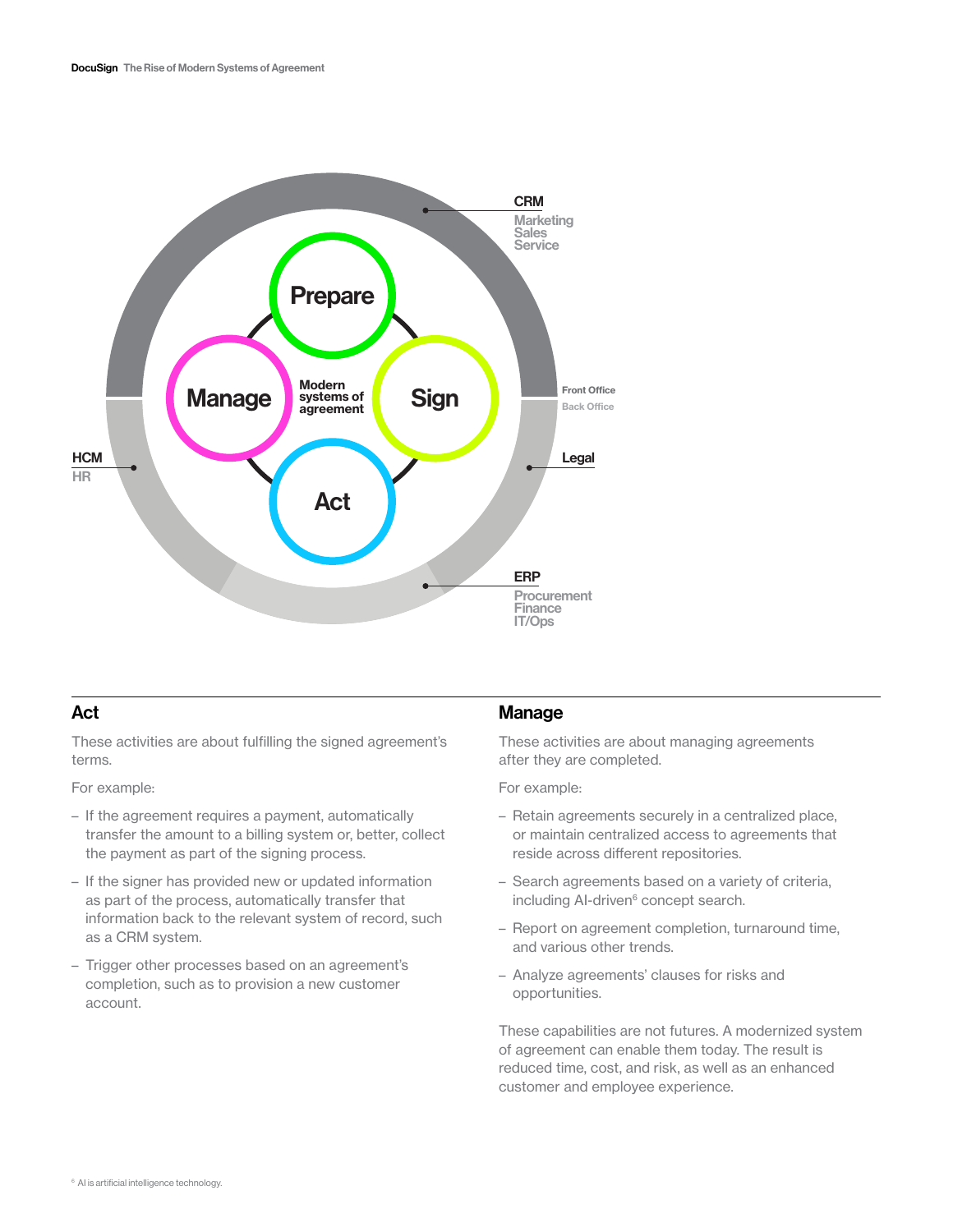

## Act

These activities are about fulfilling the signed agreement's terms.

For example:

- If the agreement requires a payment, automatically transfer the amount to a billing system or, better, collect the payment as part of the signing process.
- If the signer has provided new or updated information as part of the process, automatically transfer that information back to the relevant system of record, such as a CRM system.
- Trigger other processes based on an agreement's completion, such as to provision a new customer account.

## **Manage**

These activities are about managing agreements after they are completed.

For example:

- Retain agreements securely in a centralized place, or maintain centralized access to agreements that reside across different repositories.
- Search agreements based on a variety of criteria, including AI-driven<sup>6</sup> concept search.
- Report on agreement completion, turnaround time, and various other trends.
- Analyze agreements' clauses for risks and opportunities.

These capabilities are not futures. A modernized system of agreement can enable them today. The result is reduced time, cost, and risk, as well as an enhanced customer and employee experience.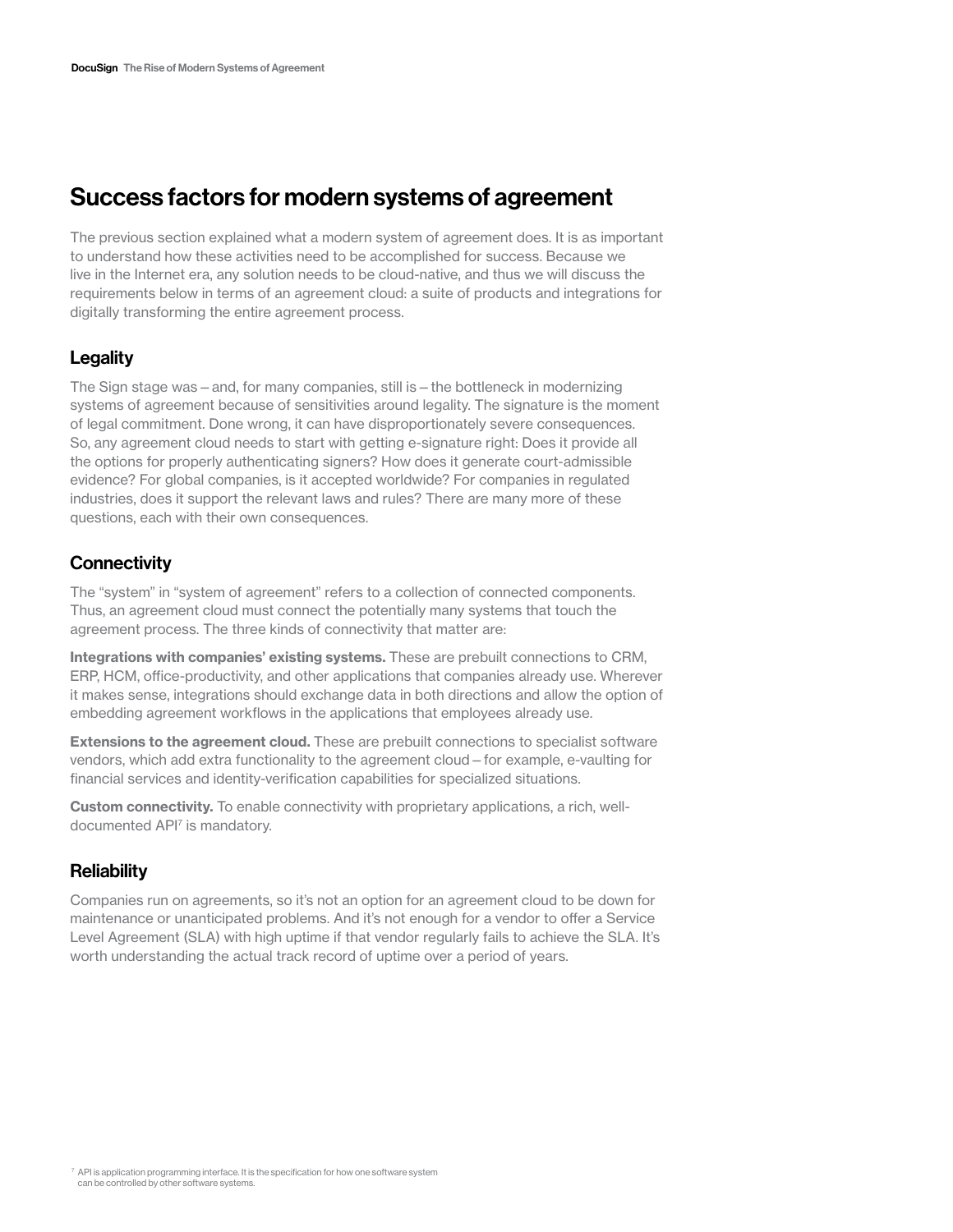# Success factors for modern systems of agreement

The previous section explained what a modern system of agreement does. It is as important to understand how these activities need to be accomplished for success. Because we live in the Internet era, any solution needs to be cloud-native, and thus we will discuss the requirements below in terms of an agreement cloud: a suite of products and integrations for digitally transforming the entire agreement process.

# **Legality**

The Sign stage was – and, for many companies, still is – the bottleneck in modernizing systems of agreement because of sensitivities around legality. The signature is the moment of legal commitment. Done wrong, it can have disproportionately severe consequences. So, any agreement cloud needs to start with getting e-signature right: Does it provide all the options for properly authenticating signers? How does it generate court-admissible evidence? For global companies, is it accepted worldwide? For companies in regulated industries, does it support the relevant laws and rules? There are many more of these questions, each with their own consequences.

# **Connectivity**

The "system" in "system of agreement" refers to a collection of connected components. Thus, an agreement cloud must connect the potentially many systems that touch the agreement process. The three kinds of connectivity that matter are:

Integrations with companies' existing systems. These are prebuilt connections to CRM, ERP, HCM, office-productivity, and other applications that companies already use. Wherever it makes sense, integrations should exchange data in both directions and allow the option of embedding agreement workflows in the applications that employees already use.

**Extensions to the agreement cloud.** These are prebuilt connections to specialist software vendors, which add extra functionality to the agreement cloud—for example, e-vaulting for financial services and identity-verification capabilities for specialized situations.

**Custom connectivity.** To enable connectivity with proprietary applications, a rich, welldocumented API7 is mandatory.

## **Reliability**

Companies run on agreements, so it's not an option for an agreement cloud to be down for maintenance or unanticipated problems. And it's not enough for a vendor to offer a Service Level Agreement (SLA) with high uptime if that vendor regularly fails to achieve the SLA. It's worth understanding the actual track record of uptime over a period of years.

<sup>7</sup> API is application programming interface. It is the specification for how one software system can be controlled by other software systems.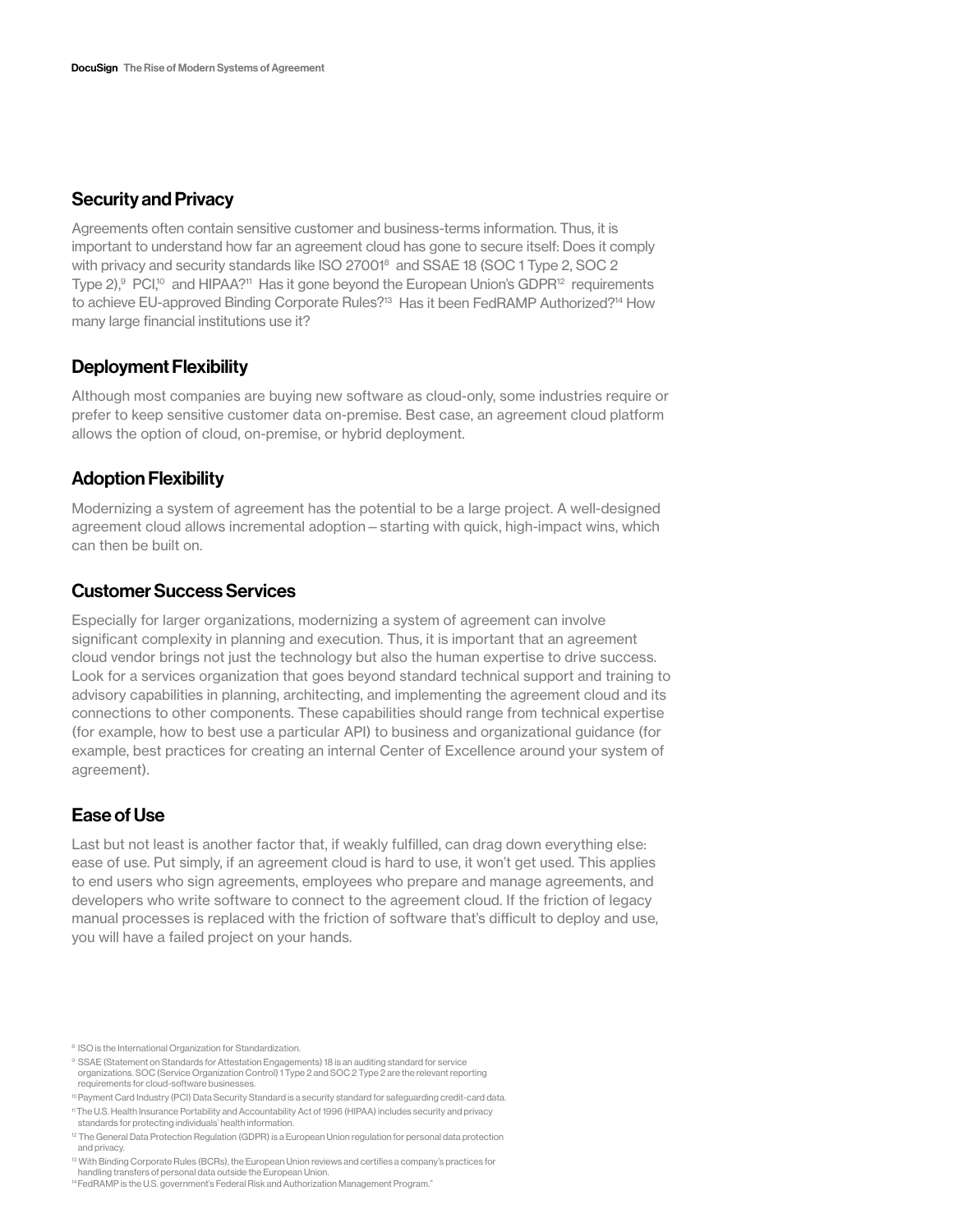### Security and Privacy

Agreements often contain sensitive customer and business-terms information. Thus, it is important to understand how far an agreement cloud has gone to secure itself: Does it comply with privacy and security standards like ISO 27001<sup>8</sup> and SSAE 18 (SOC 1 Type 2, SOC 2 Type  $2$ ),  $9$  PCI,<sup>10</sup> and HIPAA?<sup>11</sup> Has it gone beyond the European Union's GDPR<sup>12</sup> requirements to achieve EU-approved Binding Corporate Rules?<sup>13</sup> Has it been FedRAMP Authorized?<sup>14</sup> How many large financial institutions use it?

#### Deployment Flexibility

Although most companies are buying new software as cloud-only, some industries require or prefer to keep sensitive customer data on-premise. Best case, an agreement cloud platform allows the option of cloud, on-premise, or hybrid deployment.

#### Adoption Flexibility

Modernizing a system of agreement has the potential to be a large project. A well-designed agreement cloud allows incremental adoption—starting with quick, high-impact wins, which can then be built on.

## Customer Success Services

Especially for larger organizations, modernizing a system of agreement can involve significant complexity in planning and execution. Thus, it is important that an agreement cloud vendor brings not just the technology but also the human expertise to drive success. Look for a services organization that goes beyond standard technical support and training to advisory capabilities in planning, architecting, and implementing the agreement cloud and its connections to other components. These capabilities should range from technical expertise (for example, how to best use a particular API) to business and organizational guidance (for example, best practices for creating an internal Center of Excellence around your system of agreement).

## Ease of Use

Last but not least is another factor that, if weakly fulfilled, can drag down everything else: ease of use. Put simply, if an agreement cloud is hard to use, it won't get used. This applies to end users who sign agreements, employees who prepare and manage agreements, and developers who write software to connect to the agreement cloud. If the friction of legacy manual processes is replaced with the friction of software that's difficult to deploy and use, you will have a failed project on your hands.

<sup>&</sup>lt;sup>8</sup> ISO is the International Organization for Standardization.

<sup>&</sup>lt;sup>9</sup> SSAE (Statement on Standards for Attestation Engagements) 18 is an auditing standard for service organizations. SOC (Service Organization Control) 1 Type 2 and SOC 2 Type 2 are the relevant reporting requirements for cloud-software businesses.

<sup>10</sup> Payment Card Industry (PCI) Data Security Standard is a security standard for safeguarding credit-card data.

<sup>11</sup> The U.S. Health Insurance Portability and Accountability Act of 1996 (HIPAA) includes security and privacy standards for protecting individuals' health information.

<sup>&</sup>lt;sup>12</sup> The General Data Protection Regulation (GDPR) is a European Union regulation for personal data protection and privacy.

<sup>13</sup> With Binding Corporate Rules (BCRs), the European Union reviews and certifies a company's practices for handling transfers of personal data outside the European Union.

<sup>14</sup> FedRAMP is the U.S. government's Federal Risk and Authorization Management Program."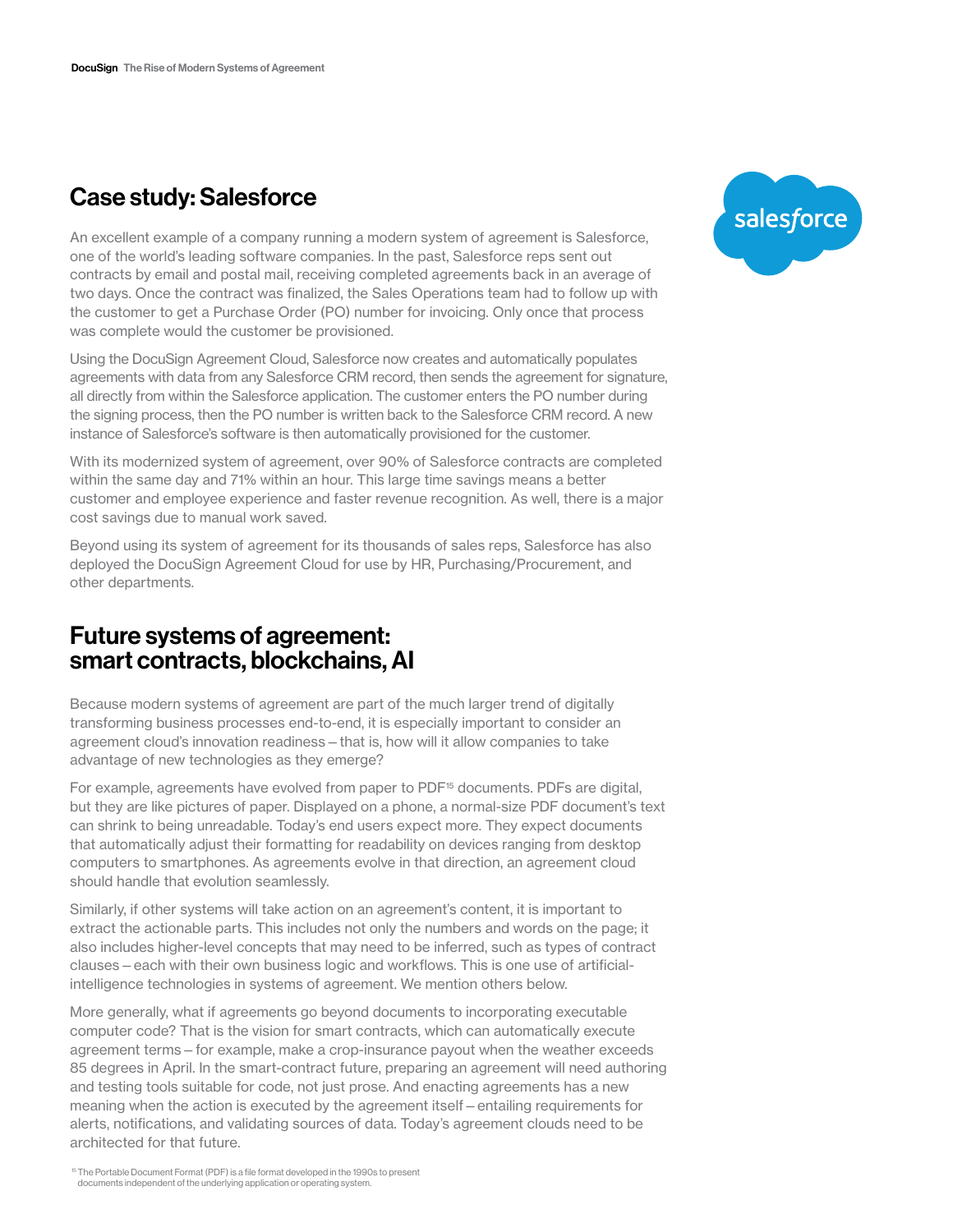# Case study: Salesforce

An excellent example of a company running a modern system of agreement is Salesforce, one of the world's leading software companies. In the past, Salesforce reps sent out contracts by email and postal mail, receiving completed agreements back in an average of two days. Once the contract was finalized, the Sales Operations team had to follow up with the customer to get a Purchase Order (PO) number for invoicing. Only once that process was complete would the customer be provisioned.

Using the DocuSign Agreement Cloud, Salesforce now creates and automatically populates agreements with data from any Salesforce CRM record, then sends the agreement for signature, all directly from within the Salesforce application. The customer enters the PO number during the signing process, then the PO number is written back to the Salesforce CRM record. A new instance of Salesforce's software is then automatically provisioned for the customer.

With its modernized system of agreement, over 90% of Salesforce contracts are completed within the same day and 71% within an hour. This large time savings means a better customer and employee experience and faster revenue recognition. As well, there is a major cost savings due to manual work saved.

Beyond using its system of agreement for its thousands of sales reps, Salesforce has also deployed the DocuSign Agreement Cloud for use by HR, Purchasing/Procurement, and other departments.

# Future systems of agreement: smart contracts, blockchains, AI

Because modern systems of agreement are part of the much larger trend of digitally transforming business processes end-to-end, it is especially important to consider an agreement cloud's innovation readiness—that is, how will it allow companies to take advantage of new technologies as they emerge?

For example, agreements have evolved from paper to PDF<sup>15</sup> documents. PDFs are digital, but they are like pictures of paper. Displayed on a phone, a normal-size PDF document's text can shrink to being unreadable. Today's end users expect more. They expect documents that automatically adjust their formatting for readability on devices ranging from desktop computers to smartphones. As agreements evolve in that direction, an agreement cloud should handle that evolution seamlessly.

Similarly, if other systems will take action on an agreement's content, it is important to extract the actionable parts. This includes not only the numbers and words on the page; it also includes higher-level concepts that may need to be inferred, such as types of contract clauses—each with their own business logic and workflows. This is one use of artificialintelligence technologies in systems of agreement. We mention others below.

More generally, what if agreements go beyond documents to incorporating executable computer code? That is the vision for smart contracts, which can automatically execute agreement terms—for example, make a crop-insurance payout when the weather exceeds 85 degrees in April. In the smart-contract future, preparing an agreement will need authoring and testing tools suitable for code, not just prose. And enacting agreements has a new meaning when the action is executed by the agreement itself—entailing requirements for alerts, notifications, and validating sources of data. Today's agreement clouds need to be architected for that future.



<sup>15</sup>The Portable Document Format (PDF) is a file format developed in the 1990s to present documents independent of the underlying application or operating system.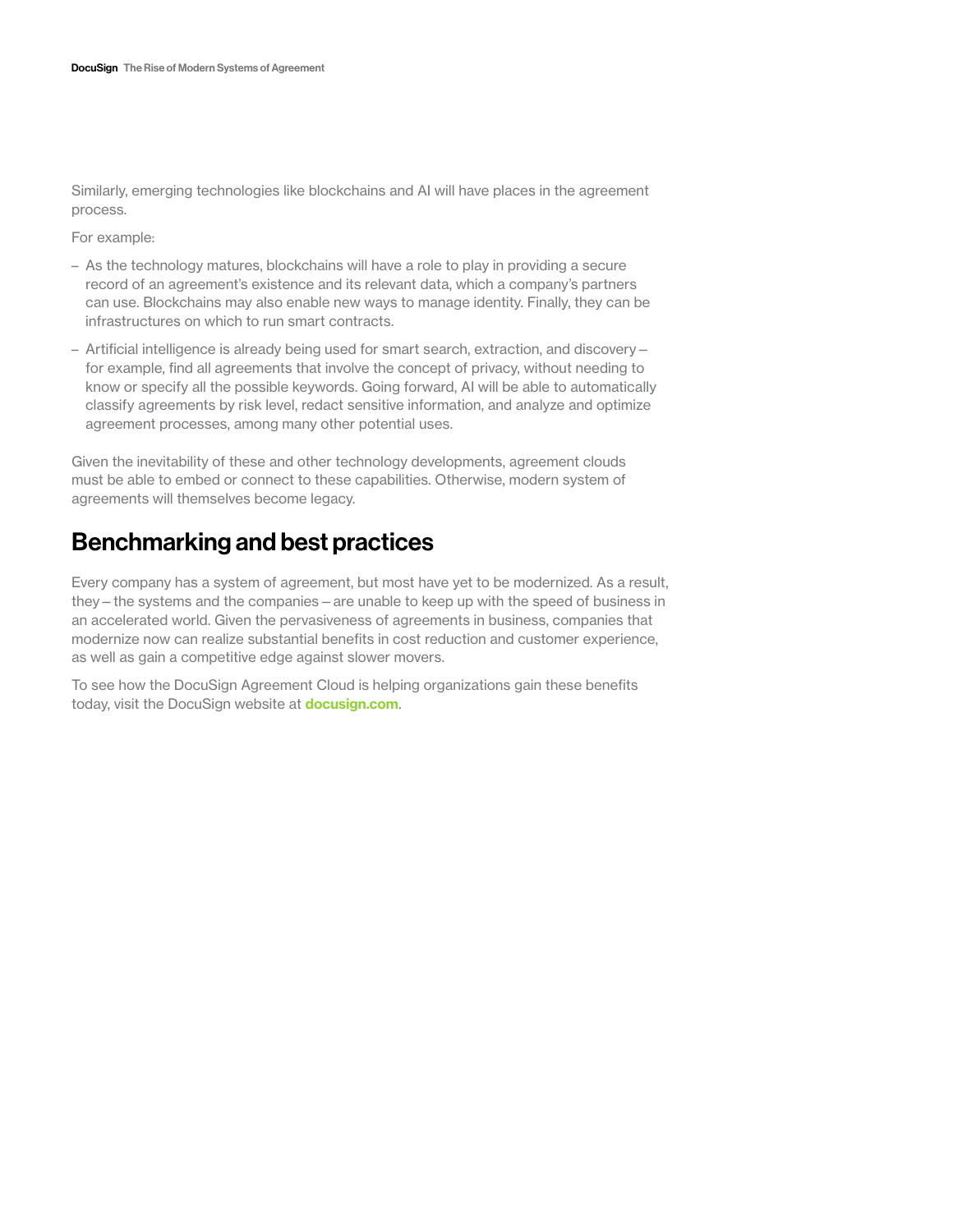Similarly, emerging technologies like blockchains and AI will have places in the agreement process.

For example:

- As the technology matures, blockchains will have a role to play in providing a secure record of an agreement's existence and its relevant data, which a company's partners can use. Blockchains may also enable new ways to manage identity. Finally, they can be infrastructures on which to run smart contracts.
- Artificial intelligence is already being used for smart search, extraction, and discovery for example, find all agreements that involve the concept of privacy, without needing to know or specify all the possible keywords. Going forward, AI will be able to automatically classify agreements by risk level, redact sensitive information, and analyze and optimize agreement processes, among many other potential uses.

Given the inevitability of these and other technology developments, agreement clouds must be able to embed or connect to these capabilities. Otherwise, modern system of agreements will themselves become legacy.

# Benchmarking and best practices

Every company has a system of agreement, but most have yet to be modernized. As a result, they—the systems and the companies—are unable to keep up with the speed of business in an accelerated world. Given the pervasiveness of agreements in business, companies that modernize now can realize substantial benefits in cost reduction and customer experience, as well as gain a competitive edge against slower movers.

To see how the DocuSign Agreement Cloud is helping organizations gain these benefits today, visit the DocuSign website at **[docusign.com](http://www.docusign.com)**.